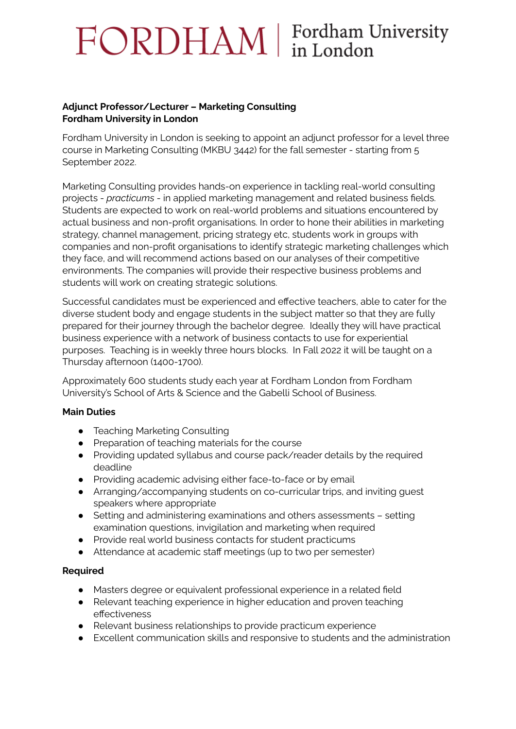# FORDHAM | Fordham University

## **Adjunct Professor/Lecturer – Marketing Consulting Fordham University in London**

Fordham University in London is seeking to appoint an adjunct professor for a level three course in Marketing Consulting (MKBU 3442) for the fall semester - starting from 5 September 2022.

Marketing Consulting provides hands-on experience in tackling real-world consulting projects - *practicums* - in applied marketing management and related business fields. Students are expected to work on real-world problems and situations encountered by actual business and non-profit organisations. In order to hone their abilities in marketing strategy, channel management, pricing strategy etc, students work in groups with companies and non-profit organisations to identify strategic marketing challenges which they face, and will recommend actions based on our analyses of their competitive environments. The companies will provide their respective business problems and students will work on creating strategic solutions.

Successful candidates must be experienced and effective teachers, able to cater for the diverse student body and engage students in the subject matter so that they are fully prepared for their journey through the bachelor degree. Ideally they will have practical business experience with a network of business contacts to use for experiential purposes. Teaching is in weekly three hours blocks. In Fall 2022 it will be taught on a Thursday afternoon (1400-1700).

Approximately 600 students study each year at Fordham London from Fordham University's School of Arts & Science and the Gabelli School of Business.

# **Main Duties**

- Teaching Marketing Consulting
- Preparation of teaching materials for the course
- Providing updated syllabus and course pack/reader details by the required deadline
- Providing academic advising either face-to-face or by email
- Arranging/accompanying students on co-curricular trips, and inviting guest speakers where appropriate
- Setting and administering examinations and others assessments setting examination questions, invigilation and marketing when required
- Provide real world business contacts for student practicums
- Attendance at academic staff meetings (up to two per semester)

# **Required**

- Masters degree or equivalent professional experience in a related field
- Relevant teaching experience in higher education and proven teaching effectiveness
- Relevant business relationships to provide practicum experience
- Excellent communication skills and responsive to students and the administration